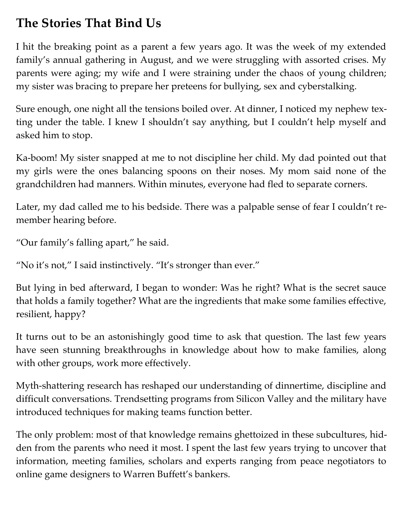## **The Stories That Bind Us**

I hit the breaking point as a parent a few years ago. It was the week of my extended family's annual gathering in August, and we were struggling with assorted crises. My parents were aging; my wife and I were straining under the chaos of young children; my sister was bracing to prepare her preteens for bullying, sex and cyberstalking.

Sure enough, one night all the tensions boiled over. At dinner, I noticed my nephew texting under the table. I knew I shouldn't say anything, but I couldn't help myself and asked him to stop.

Ka-boom! My sister snapped at me to not discipline her child. My dad pointed out that my girls were the ones balancing spoons on their noses. My mom said none of the grandchildren had manners. Within minutes, everyone had fled to separate corners.

Later, my dad called me to his bedside. There was a palpable sense of fear I couldn't remember hearing before.

"Our family's falling apart," he said.

"No it's not," I said instinctively. "It's stronger than ever."

But lying in bed afterward, I began to wonder: Was he right? What is the secret sauce that holds a family together? What are the ingredients that make some families effective, resilient, happy?

It turns out to be an astonishingly good time to ask that question. The last few years have seen stunning breakthroughs in knowledge about how to make families, along with other groups, work more effectively.

Myth-shattering research has reshaped our understanding of dinnertime, discipline and difficult conversations. Trendsetting programs from Silicon Valley and the military have introduced techniques for making teams function better.

The only problem: most of that knowledge remains ghettoized in these subcultures, hidden from the parents who need it most. I spent the last few years trying to uncover that information, meeting families, scholars and experts ranging from peace negotiators to online game designers to Warren Buffett's bankers.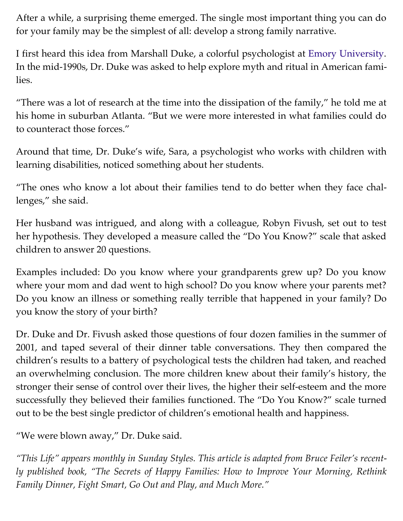After a while, a surprising theme emerged. The single most important thing you can do for your family may be the simplest of all: develop a strong family narrative.

I first heard this idea from Marshall Duke, a colorful psychologist at [Emory University.](http://topics.nytimes.com/top/reference/timestopics/organizations/e/emory_university/index.html?inline=nyt-org) In the mid-1990s, Dr. Duke was asked to help explore myth and ritual in American families.

"There was a lot of research at the time into the dissipation of the family," he told me at his home in suburban Atlanta. "But we were more interested in what families could do to counteract those forces."

Around that time, Dr. Duke's wife, Sara, a psychologist who works with children with learning disabilities, noticed something about her students.

"The ones who know a lot about their families tend to do better when they face challenges," she said.

Her husband was intrigued, and along with a colleague, Robyn Fivush, set out to test her hypothesis. They developed a measure called the "Do You Know?" scale that asked children to answer 20 questions.

Examples included: Do you know where your grandparents grew up? Do you know where your mom and dad went to high school? Do you know where your parents met? Do you know an illness or something really terrible that happened in your family? Do you know the story of your birth?

Dr. Duke and Dr. Fivush asked those questions of four dozen families in the summer of 2001, and taped several of their dinner table conversations. They then compared the children's results to a battery of psychological tests the children had taken, and reached an overwhelming conclusion. The more children knew about their family's history, the stronger their sense of control over their lives, the higher their self-esteem and the more successfully they believed their families functioned. The "Do You Know?" scale turned out to be the best single predictor of children's emotional health and happiness.

"We were blown away," Dr. Duke said.

*"This Life" appears monthly in Sunday Styles. This article is adapted from Bruce Feiler's recently published book, "The Secrets of Happy Families: How to Improve Your Morning, Rethink Family Dinner, Fight Smart, Go Out and Play, and Much More."*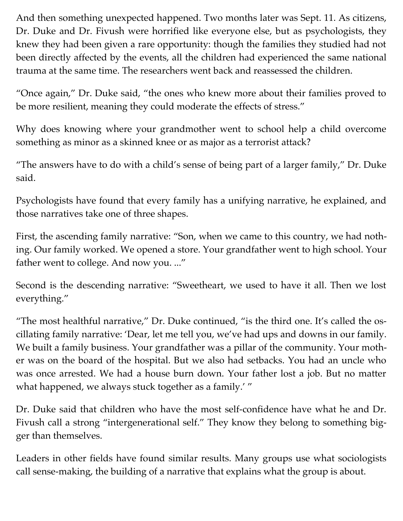And then something unexpected happened. Two months later was Sept. 11. As citizens, Dr. Duke and Dr. Fivush were horrified like everyone else, but as psychologists, they knew they had been given a rare opportunity: though the families they studied had not been directly affected by the events, all the children had experienced the same national trauma at the same time. The researchers went back and reassessed the children.

"Once again," Dr. Duke said, "the ones who knew more about their families proved to be more resilient, meaning they could moderate the effects of stress."

Why does knowing where your grandmother went to school help a child overcome something as minor as a skinned knee or as major as a terrorist attack?

"The answers have to do with a child's sense of being part of a larger family," Dr. Duke said.

Psychologists have found that every family has a unifying narrative, he explained, and those narratives take one of three shapes.

First, the ascending family narrative: "Son, when we came to this country, we had nothing. Our family worked. We opened a store. Your grandfather went to high school. Your father went to college. And now you. ..."

Second is the descending narrative: "Sweetheart, we used to have it all. Then we lost everything."

"The most healthful narrative," Dr. Duke continued, "is the third one. It's called the oscillating family narrative: 'Dear, let me tell you, we've had ups and downs in our family. We built a family business. Your grandfather was a pillar of the community. Your mother was on the board of the hospital. But we also had setbacks. You had an uncle who was once arrested. We had a house burn down. Your father lost a job. But no matter what happened, we always stuck together as a family.' "

Dr. Duke said that children who have the most self-confidence have what he and Dr. Fivush call a strong "intergenerational self." They know they belong to something bigger than themselves.

Leaders in other fields have found similar results. Many groups use what sociologists call sense-making, the building of a narrative that explains what the group is about.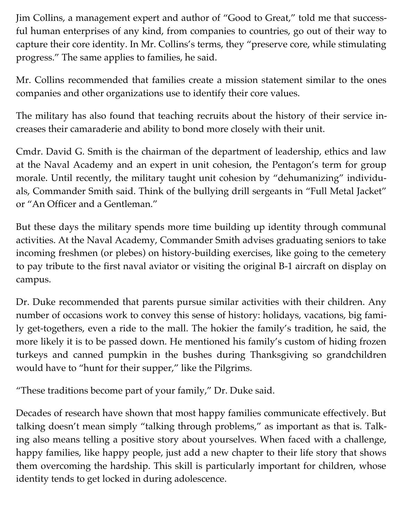Jim Collins, a management expert and author of "Good to Great," told me that successful human enterprises of any kind, from companies to countries, go out of their way to capture their core identity. In Mr. Collins's terms, they "preserve core, while stimulating progress." The same applies to families, he said.

Mr. Collins recommended that families create a mission statement similar to the ones companies and other organizations use to identify their core values.

The military has also found that teaching recruits about the history of their service increases their camaraderie and ability to bond more closely with their unit.

Cmdr. David G. Smith is the chairman of the department of leadership, ethics and law at the Naval Academy and an expert in unit cohesion, the Pentagon's term for group morale. Until recently, the military taught unit cohesion by "dehumanizing" individuals, Commander Smith said. Think of the bullying drill sergeants in "Full Metal Jacket" or "An Officer and a Gentleman."

But these days the military spends more time building up identity through communal activities. At the Naval Academy, Commander Smith advises graduating seniors to take incoming freshmen (or plebes) on history-building exercises, like going to the cemetery to pay tribute to the first naval aviator or visiting the original B-1 aircraft on display on campus.

Dr. Duke recommended that parents pursue similar activities with their children. Any number of occasions work to convey this sense of history: holidays, vacations, big family get-togethers, even a ride to the mall. The hokier the family's tradition, he said, the more likely it is to be passed down. He mentioned his family's custom of hiding frozen turkeys and canned pumpkin in the bushes during Thanksgiving so grandchildren would have to "hunt for their supper," like the Pilgrims.

"These traditions become part of your family," Dr. Duke said.

Decades of research have shown that most happy families communicate effectively. But talking doesn't mean simply "talking through problems," as important as that is. Talking also means telling a positive story about yourselves. When faced with a challenge, happy families, like happy people, just add a new chapter to their life story that shows them overcoming the hardship. This skill is particularly important for children, whose identity tends to get locked in during adolescence.